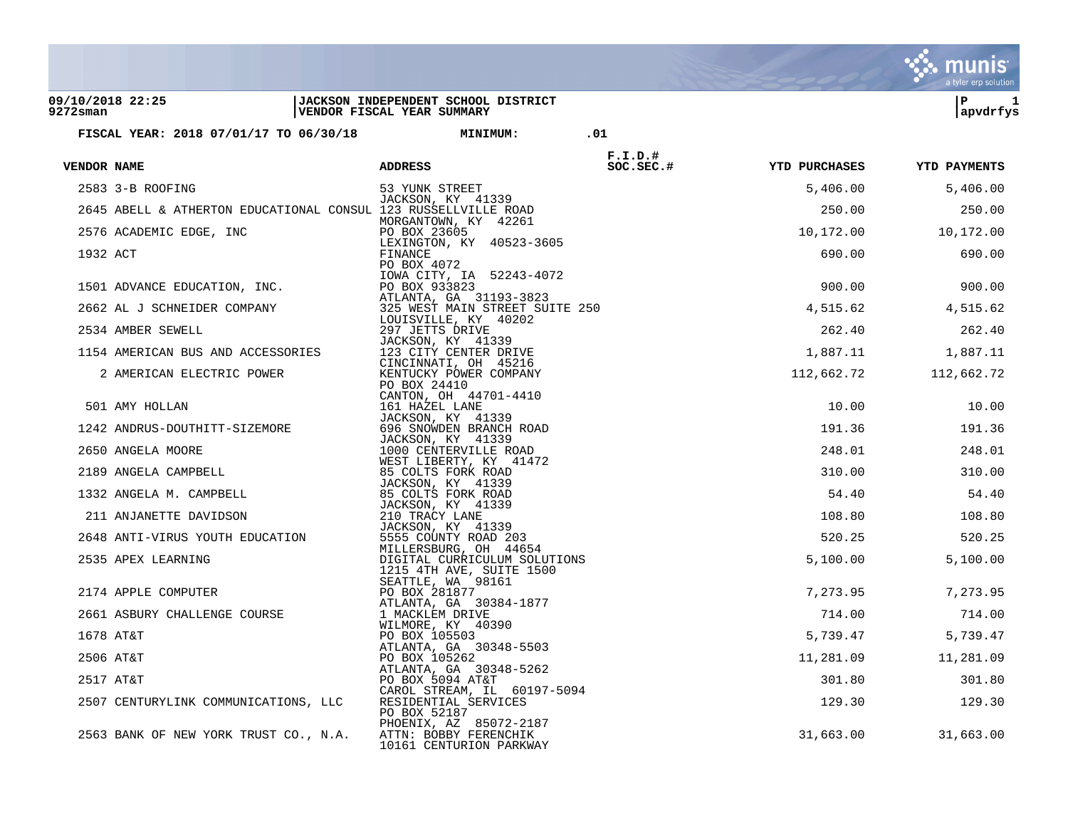|                                 |                                                                |                                                                   |            |                      | a tyler erp solution |
|---------------------------------|----------------------------------------------------------------|-------------------------------------------------------------------|------------|----------------------|----------------------|
| 09/10/2018 22:25<br>$9272$ sman |                                                                | JACKSON INDEPENDENT SCHOOL DISTRICT<br>VENDOR FISCAL YEAR SUMMARY |            |                      | ΙP<br>1<br>apvdrfys  |
|                                 | FISCAL YEAR: 2018 07/01/17 TO 06/30/18                         | <b>MINIMUM:</b>                                                   | .01        |                      |                      |
|                                 |                                                                |                                                                   | $F.I.D.$ # |                      |                      |
| VENDOR NAME                     |                                                                | <b>ADDRESS</b>                                                    | SOC.SEC.#  | <b>YTD PURCHASES</b> | <b>YTD PAYMENTS</b>  |
|                                 | 2583 3-B ROOFING                                               | 53 YUNK STREET                                                    |            | 5,406.00             | 5,406.00             |
|                                 | 2645 ABELL & ATHERTON EDUCATIONAL CONSUL 123 RUSSELLVILLE ROAD | JACKSON, KY 41339                                                 |            | 250.00               | 250.00               |
|                                 | 2576 ACADEMIC EDGE, INC                                        | MORGANTOWN, KY 42261<br>PO BOX 23605                              |            | 10,172.00            | 10,172.00            |
| 1932 ACT                        |                                                                | LEXINGTON, KY 40523-3605<br>FINANCE                               |            | 690.00               | 690.00               |
|                                 |                                                                | PO BOX 4072<br>IOWA CITY, IA 52243-4072                           |            |                      |                      |
|                                 | 1501 ADVANCE EDUCATION, INC.                                   | PO BOX 933823                                                     |            | 900.00               | 900.00               |
|                                 | 2662 AL J SCHNEIDER COMPANY                                    | ATLANTA, GA 31193-3823<br>325 WEST MAIN STREET SUITE 250          |            | 4,515.62             | 4,515.62             |
|                                 | 2534 AMBER SEWELL                                              | LOUISVILLE, KY 40202<br>297 JETTS DRIVE                           |            | 262.40               | 262.40               |
|                                 | 1154 AMERICAN BUS AND ACCESSORIES                              | JACKSON, KY 41339<br>123 CITY CENTER DRIVE                        |            | 1,887.11             | 1,887.11             |
|                                 | 2 AMERICAN ELECTRIC POWER                                      | CINCINNATI, OH 45216<br>KENTUCKY POWER COMPANY                    |            | 112,662.72           | 112,662.72           |
|                                 |                                                                | PO BOX 24410                                                      |            |                      |                      |
|                                 | 501 AMY HOLLAN                                                 | CANTON, OH 44701-4410<br>161 HAZEL LANE                           |            | 10.00                | 10.00                |
|                                 | 1242 ANDRUS-DOUTHITT-SIZEMORE                                  | JACKSON, KY 41339<br>696 SNOWDEN BRANCH ROAD                      |            | 191.36               | 191.36               |
|                                 | 2650 ANGELA MOORE                                              | JACKSON, KY 41339<br>1000 CENTERVILLE ROAD                        |            | 248.01               | 248.01               |
|                                 | 2189 ANGELA CAMPBELL                                           | WEST LIBERTY, KY 41472<br>85 COLTS FORK ROAD                      |            | 310.00               | 310.00               |
|                                 | 1332 ANGELA M. CAMPBELL                                        | JACKSON, KY 41339<br>85 COLTS FORK ROAD                           |            | 54.40                | 54.40                |
|                                 |                                                                | JACKSON, KY 41339                                                 |            |                      |                      |
|                                 | 211 ANJANETTE DAVIDSON                                         | 210 TRACY LANE<br>JACKSON, KY 41339                               |            | 108.80               | 108.80               |
|                                 | 2648 ANTI-VIRUS YOUTH EDUCATION                                | 5555 COUNTY ROAD 203<br>MILLERSBURG, OH 44654                     |            | 520.25               | 520.25               |
|                                 | 2535 APEX LEARNING                                             | DIGITAL CURRICULUM SOLUTIONS<br>1215 4TH AVE, SUITE 1500          |            | 5,100.00             | 5,100.00             |
|                                 | 2174 APPLE COMPUTER                                            | SEATTLE, WA 98161<br>PO BOX 281877                                |            | 7,273.95             | 7,273.95             |
|                                 |                                                                | ATLANTA, GA 30384-1877                                            |            |                      |                      |
|                                 | 2661 ASBURY CHALLENGE COURSE                                   | 1 MACKLEM DRIVE<br>WILMORE, KY 40390                              |            | 714.00               | 714.00               |
|                                 | 1678 AT&T                                                      | PO BOX 105503<br>ATLANTA, GA 30348-5503                           |            | 5,739.47             | 5,739.47             |
|                                 | 2506 AT&T                                                      | PO BOX 105262<br>ATLANTA, GA 30348-5262                           |            | 11,281.09            | 11,281.09            |
|                                 | 2517 AT&T                                                      | PO BOX 5094 AT&T                                                  |            | 301.80               | 301.80               |
|                                 | 2507 CENTURYLINK COMMUNICATIONS, LLC                           | CAROL STREAM, IL 60197-5094<br>RESIDENTIAL SERVICES               |            | 129.30               | 129.30               |
|                                 |                                                                | PO BOX 52187<br>PHOENIX, AZ 85072-2187                            |            |                      |                      |
|                                 | 2563 BANK OF NEW YORK TRUST CO., N.A.                          | ATTN: BOBBY FERENCHIK<br>10161 CENTURION PARKWAY                  |            | 31,663.00            | 31,663.00            |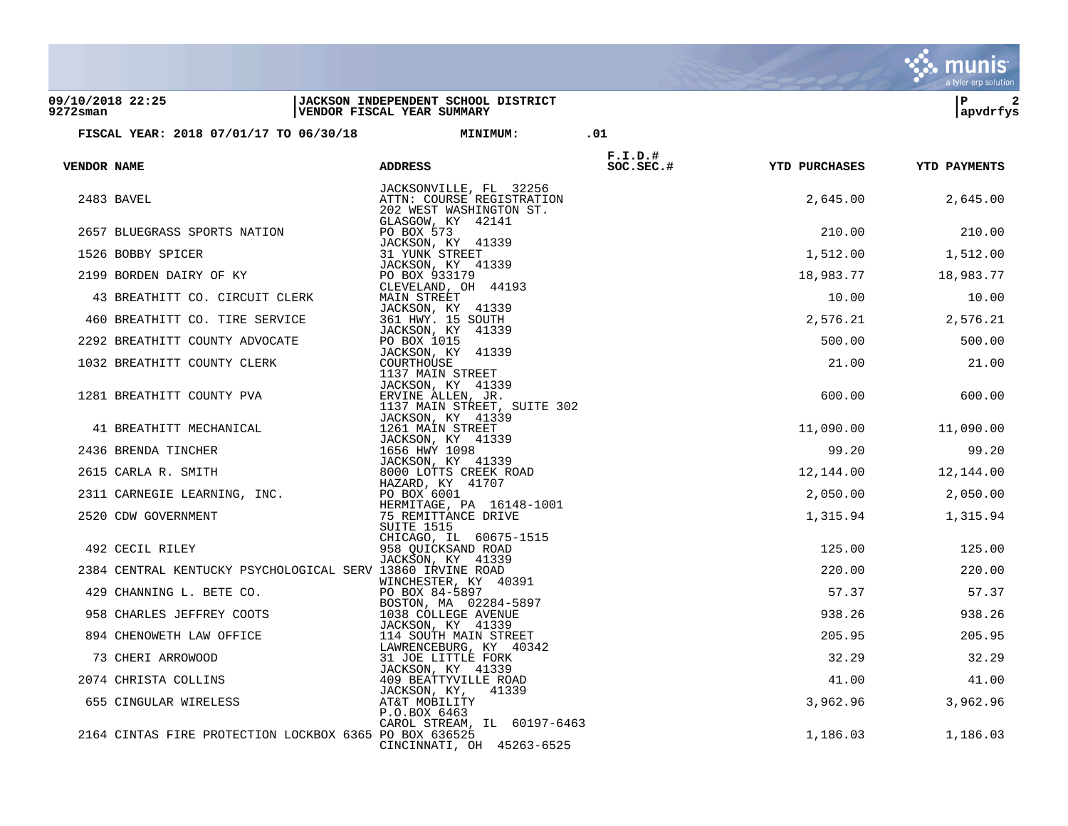|                                 |                                                            |                                                                                           |            |                      | a tyler erp solution |
|---------------------------------|------------------------------------------------------------|-------------------------------------------------------------------------------------------|------------|----------------------|----------------------|
| 09/10/2018 22:25<br>$9272$ sman |                                                            | <b>JACKSON INDEPENDENT SCHOOL DISTRICT</b><br>VENDOR FISCAL YEAR SUMMARY                  |            |                      | ΙP<br>2<br>apvdrfys  |
|                                 | FISCAL YEAR: 2018 07/01/17 TO 06/30/18                     | <b>MINIMUM:</b>                                                                           | .01        |                      |                      |
|                                 |                                                            |                                                                                           | $F.I.D.$ # |                      |                      |
| <b>VENDOR NAME</b>              |                                                            | <b>ADDRESS</b>                                                                            | SOC.SEC.#  | <b>YTD PURCHASES</b> | <b>YTD PAYMENTS</b>  |
|                                 | 2483 BAVEL                                                 | JACKSONVILLE, FL 32256<br>ATTN: COURSE REGISTRATION<br>202 WEST WASHINGTON ST.            |            | 2,645.00             | 2,645.00             |
|                                 | 2657 BLUEGRASS SPORTS NATION                               | GLASGOW, KY 42141<br>PO BOX 573                                                           |            | 210.00               | 210.00               |
|                                 | 1526 BOBBY SPICER                                          | JACKSON, KY 41339<br>31 YUNK STREET                                                       |            | 1,512.00             | 1,512.00             |
|                                 | 2199 BORDEN DAIRY OF KY                                    | JACKSON, KY 41339<br>PO BOX 933179                                                        |            | 18,983.77            | 18,983.77            |
|                                 | 43 BREATHITT CO. CIRCUIT CLERK                             | CLEVELAND, OH 44193<br>MAIN STREET                                                        |            | 10.00                | 10.00                |
|                                 | 460 BREATHITT CO. TIRE SERVICE                             | JACKSON, KY 41339<br>361 HWY. 15 SOUTH                                                    |            | 2,576.21             | 2,576.21             |
|                                 | 2292 BREATHITT COUNTY ADVOCATE                             | JACKSON, KY 41339<br>PO BOX 1015                                                          |            | 500.00               | 500.00               |
|                                 | 1032 BREATHITT COUNTY CLERK                                | JACKSON, KY 41339<br>COURTHOUSE                                                           |            | 21.00                | 21.00                |
|                                 | 1281 BREATHITT COUNTY PVA                                  | 1137 MAIN STREET<br>JACKSON, KY 41339<br>ERVINE ALLEN, JR.<br>1137 MAIN STREET, SUITE 302 |            | 600.00               | 600.00               |
|                                 | 41 BREATHITT MECHANICAL                                    | JACKSON, KY 41339<br>1261 MAIN STREET                                                     |            | 11,090.00            | 11,090.00            |
|                                 | 2436 BRENDA TINCHER                                        | JACKSON, KY 41339<br>1656 HWY 1098                                                        |            | 99.20                | 99.20                |
|                                 | 2615 CARLA R. SMITH                                        | JACKSON, KY 41339<br>8000 LOTTS CREEK ROAD                                                |            | 12,144.00            | 12,144.00            |
|                                 | 2311 CARNEGIE LEARNING, INC.                               | HAZARD, KY 41707<br>PO BOX 6001                                                           |            | 2,050.00             | 2,050.00             |
|                                 | 2520 CDW GOVERNMENT                                        | HERMITAGE, PA 16148-1001<br>75 REMITTANCE DRIVE                                           |            | 1,315.94             | 1,315.94             |
|                                 | 492 CECIL RILEY                                            | SUITE 1515<br>CHICAGO, IL 60675-1515<br>958 QUICKSAND ROAD                                |            | 125.00               | 125.00               |
|                                 | 2384 CENTRAL KENTUCKY PSYCHOLOGICAL SERV 13860 IRVINE ROAD | JACKSON, KY 41339                                                                         |            | 220.00               | 220.00               |
|                                 | 429 CHANNING L. BETE CO.                                   | WINCHESTER, KY 40391<br>PO BOX 84-5897                                                    |            | 57.37                | 57.37                |
|                                 |                                                            | BOSTON, MA 02284-5897                                                                     |            |                      |                      |
|                                 | 958 CHARLES JEFFREY COOTS                                  | 1038 COLLEGE AVENUE<br>JACKSON, KY 41339                                                  |            | 938.26               | 938.26               |
|                                 | 894 CHENOWETH LAW OFFICE                                   | 114 SOUTH MAIN STREET<br>LAWRENCEBURG, KY 40342                                           |            | 205.95               | 205.95               |
|                                 | 73 CHERI ARROWOOD                                          | 31 JOE LITTLE FORK<br>JACKSON, KY 41339                                                   |            | 32.29                | 32.29                |
|                                 | 2074 CHRISTA COLLINS                                       | 409 BEATTYVILLE ROAD                                                                      |            | 41.00                | 41.00                |
|                                 | 655 CINGULAR WIRELESS                                      | JACKSON, KY,<br>41339<br>AT&T MOBILITY<br>P.O.BOX 6463                                    |            | 3,962.96             | 3,962.96             |
|                                 | 2164 CINTAS FIRE PROTECTION LOCKBOX 6365 PO BOX 636525     | CAROL STREAM, IL 60197-6463<br>CINCINNATI, OH 45263-6525                                  |            | 1,186.03             | 1,186.03             |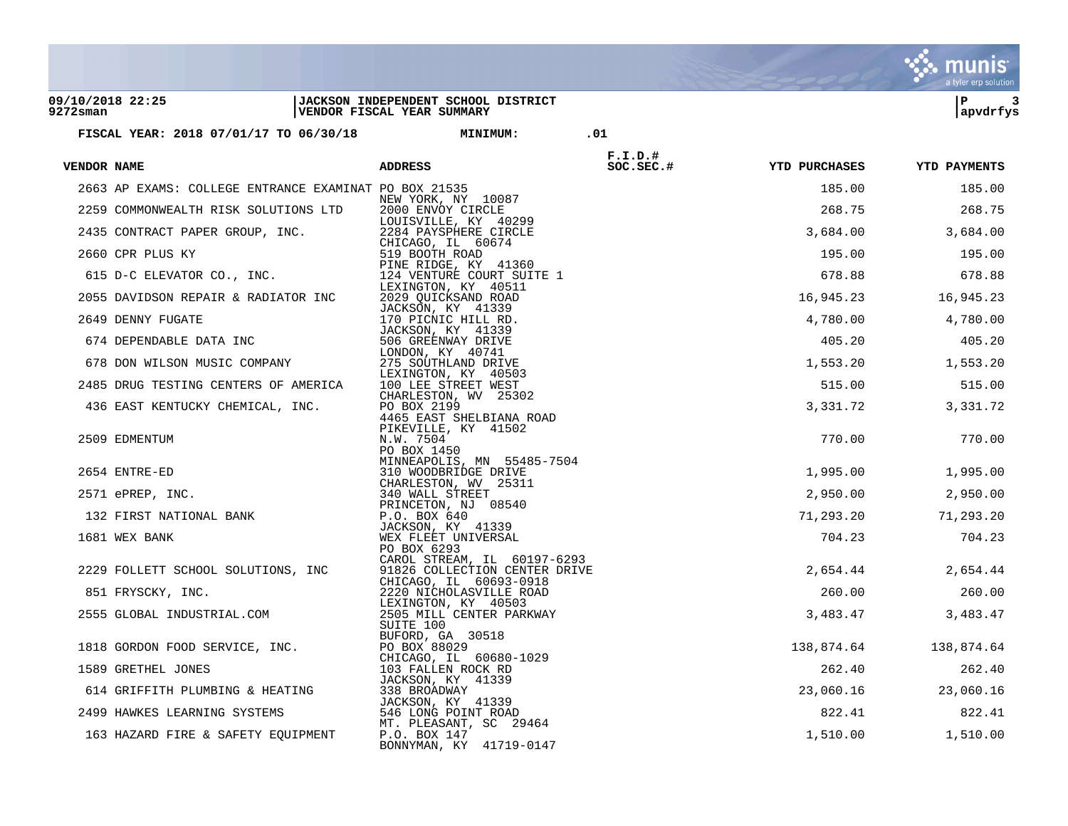|                              |                                                       |                                                                            |                          |                      | a tyler erp solution |
|------------------------------|-------------------------------------------------------|----------------------------------------------------------------------------|--------------------------|----------------------|----------------------|
| 09/10/2018 22:25<br>9272sman |                                                       | JACKSON INDEPENDENT SCHOOL DISTRICT<br>VENDOR FISCAL YEAR SUMMARY          |                          |                      | ΙP<br>3<br>apvdrfys  |
|                              | FISCAL YEAR: 2018 07/01/17 TO 06/30/18                | <b>MINIMUM:</b>                                                            | .01                      |                      |                      |
|                              |                                                       |                                                                            |                          |                      |                      |
| VENDOR NAME                  |                                                       | <b>ADDRESS</b>                                                             | $F.I.D.$ #<br>$SC.SEC.*$ | <b>YTD PURCHASES</b> | <b>YTD PAYMENTS</b>  |
|                              | 2663 AP EXAMS: COLLEGE ENTRANCE EXAMINAT PO BOX 21535 |                                                                            |                          | 185.00               | 185.00               |
|                              | 2259 COMMONWEALTH RISK SOLUTIONS LTD                  | NEW YORK, NY 10087<br>2000 ENVOY CIRCLE                                    |                          | 268.75               | 268.75               |
|                              | 2435 CONTRACT PAPER GROUP, INC.                       | LOUISVILLE, KY 40299<br>2284 PAYSPHERE CIRCLE                              |                          | 3,684.00             | 3,684.00             |
|                              | 2660 CPR PLUS KY                                      | CHICAGO, IL 60674<br>519 BOOTH ROAD                                        |                          | 195.00               | 195.00               |
|                              |                                                       | PINE RIDGE, KY 41360                                                       |                          |                      |                      |
|                              | 615 D-C ELEVATOR CO., INC.                            | 124 VENTURE COURT SUITE 1<br>LEXINGTON, KY 40511                           |                          | 678.88               | 678.88               |
|                              | 2055 DAVIDSON REPAIR & RADIATOR INC                   | 2029 QUICKSAND ROAD<br>JACKSON, KY 41339                                   |                          | 16,945.23            | 16,945.23            |
|                              | 2649 DENNY FUGATE                                     | 170 PICNIC HILL RD.<br>JACKSON, KY 41339                                   |                          | 4,780.00             | 4,780.00             |
|                              | 674 DEPENDABLE DATA INC                               | 506 GREENWAY DRIVE                                                         |                          | 405.20               | 405.20               |
|                              | 678 DON WILSON MUSIC COMPANY                          | LONDON, KY 40741<br>275 SOUTHLAND DRIVE                                    |                          | 1,553.20             | 1,553.20             |
|                              | 2485 DRUG TESTING CENTERS OF AMERICA                  | LEXINGTON, KY 40503<br>100 LEE STREET WEST                                 |                          | 515.00               | 515.00               |
|                              | 436 EAST KENTUCKY CHEMICAL, INC.                      | CHARLESTON, WV 25302<br>PO BOX 2199<br>4465 EAST SHELBIANA ROAD            |                          | 3,331.72             | 3,331.72             |
|                              | 2509 EDMENTUM                                         | PIKEVILLE, KY 41502<br>N.W. 7504<br>PO BOX 1450                            |                          | 770.00               | 770.00               |
|                              | 2654 ENTRE-ED                                         | MINNEAPOLIS, MN 55485-7504<br>310 WOODBRIDGE DRIVE<br>CHARLESTON, WV 25311 |                          | 1,995.00             | 1,995.00             |
|                              | 2571 ePREP, INC.                                      | 340 WALL STREET                                                            |                          | 2,950.00             | 2,950.00             |
|                              | 132 FIRST NATIONAL BANK                               | PRINCETON, NJ 08540<br>P.O. BOX 640                                        |                          | 71,293.20            | 71,293.20            |
|                              | 1681 WEX BANK                                         | JACKSON, KY 41339<br>WEX FLEET UNIVERSAL<br>PO BOX 6293                    |                          | 704.23               | 704.23               |
|                              | 2229 FOLLETT SCHOOL SOLUTIONS, INC                    | CAROL STREAM, IL 60197-6293<br>91826 COLLECTION CENTER DRIVE               |                          | 2,654.44             | 2,654.44             |
|                              | 851 FRYSCKY, INC.                                     | CHICAGO, IL 60693-0918<br>2220 NICHOLASVILLE ROAD                          |                          | 260.00               | 260.00               |
|                              | 2555 GLOBAL INDUSTRIAL.COM                            | LEXINGTON, KY 40503<br>2505 MILL CENTER PARKWAY<br>SUITE 100               |                          | 3,483.47             | 3,483.47             |
|                              | 1818 GORDON FOOD SERVICE, INC.                        | BUFORD, GA 30518<br>PO BOX 88029                                           |                          | 138,874.64           | 138,874.64           |
|                              | 1589 GRETHEL JONES                                    | CHICAGO, IL 60680-1029<br>103 FALLEN ROCK RD                               |                          | 262.40               | 262.40               |
|                              | 614 GRIFFITH PLUMBING & HEATING                       | <b>JACKSON, KY 41339</b><br>338 BROADWAY                                   |                          | 23,060.16            | 23,060.16            |
|                              | 2499 HAWKES LEARNING SYSTEMS                          | JACKSON, KY 41339<br>546 LONG POINT ROAD                                   |                          | 822.41               | 822.41               |
|                              | 163 HAZARD FIRE & SAFETY EQUIPMENT                    | MT. PLEASANT, SC 29464<br>P.O. BOX 147<br>BONNYMAN, KY 41719-0147          |                          | 1,510.00             | 1,510.00             |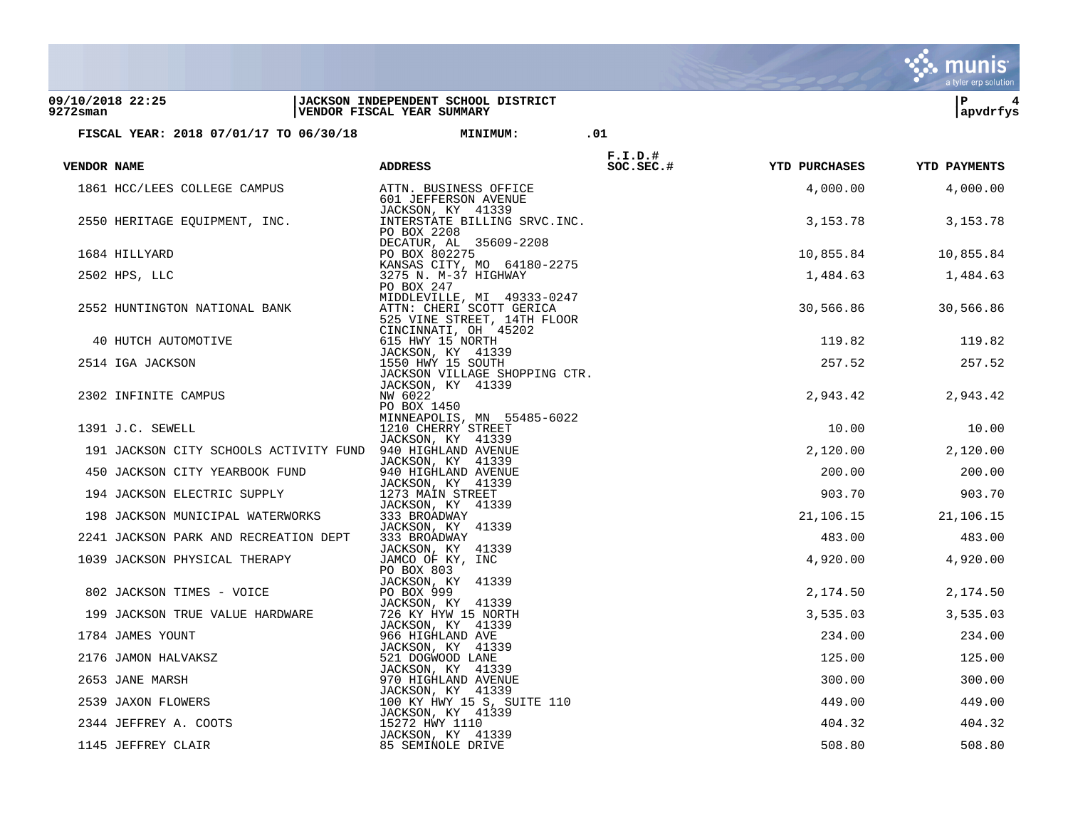|             |                                        |                                                                                                               |            |                      | a tyler erp solution |
|-------------|----------------------------------------|---------------------------------------------------------------------------------------------------------------|------------|----------------------|----------------------|
| 9272sman    | 09/10/2018 22:25                       | JACKSON INDEPENDENT SCHOOL DISTRICT<br>VENDOR FISCAL YEAR SUMMARY                                             |            |                      | ΙP<br>4<br> apvdrfys |
|             | FISCAL YEAR: 2018 07/01/17 TO 06/30/18 | <b>MINIMUM:</b>                                                                                               | .01        |                      |                      |
|             |                                        |                                                                                                               | $F.I.D.$ # |                      |                      |
| VENDOR NAME |                                        | <b>ADDRESS</b>                                                                                                | SOC.SEC.#  | <b>YTD PURCHASES</b> | <b>YTD PAYMENTS</b>  |
|             | 1861 HCC/LEES COLLEGE CAMPUS           | ATTN. BUSINESS OFFICE<br>601 JEFFERSON AVENUE<br>JACKSON, KY 41339                                            |            | 4,000.00             | 4,000.00             |
|             | 2550 HERITAGE EQUIPMENT, INC.          | INTERSTATE BILLING SRVC. INC.<br>PO BOX 2208<br>DECATUR, AL 35609-2208                                        |            | 3,153.78             | 3,153.78             |
|             | 1684 HILLYARD                          | PO BOX 802275                                                                                                 |            | 10,855.84            | 10,855.84            |
|             | 2502 HPS, LLC                          | KANSAS CITY, MO 64180-2275<br>3275 N. M-37 HIGHWAY<br>PO BOX 247                                              |            | 1,484.63             | 1,484.63             |
|             | 2552 HUNTINGTON NATIONAL BANK          | MIDDLEVILLE, MI 49333-0247<br>ATTN: CHERI SCOTT GERICA<br>525 VINE STREET, 14TH FLOOR<br>CINCINNATI, OH 45202 |            | 30,566.86            | 30,566.86            |
|             | 40 HUTCH AUTOMOTIVE                    | 615 HWY 15 NORTH                                                                                              |            | 119.82               | 119.82               |
|             | 2514 IGA JACKSON                       | JACKSON, KY 41339<br>1550 HWY 15 SOUTH<br>JACKSON VILLAGE SHOPPING CTR.                                       |            | 257.52               | 257.52               |
|             | 2302 INFINITE CAMPUS                   | JACKSON, KY 41339<br>NW 6022<br>PO BOX 1450                                                                   |            | 2,943.42             | 2,943.42             |
|             | 1391 J.C. SEWELL                       | MINNEAPOLIS, MN 55485-6022<br>1210 CHERRY STREET                                                              |            | 10.00                | 10.00                |
|             | 191 JACKSON CITY SCHOOLS ACTIVITY FUND | JACKSON, KY 41339<br>940 HIGHLAND AVENUE                                                                      |            | 2,120.00             | 2,120.00             |
|             | 450 JACKSON CITY YEARBOOK FUND         | JACKSON, KY 41339<br>940 HIGHLAND AVENUE                                                                      |            | 200.00               | 200.00               |
|             | 194 JACKSON ELECTRIC SUPPLY            | JACKSON, KY 41339<br>1273 MAIN STREET                                                                         |            | 903.70               | 903.70               |
|             | 198 JACKSON MUNICIPAL WATERWORKS       | JACKSON, KY 41339                                                                                             |            |                      |                      |
|             |                                        | 333 BROADWAY<br>JACKSON, KY 41339                                                                             |            | 21,106.15            | 21,106.15            |
|             | 2241 JACKSON PARK AND RECREATION DEPT  | 333 BROADWAY<br>JACKSON, KY 41339                                                                             |            | 483.00               | 483.00               |
|             | 1039 JACKSON PHYSICAL THERAPY          | JAMCO OF KY, INC<br>PO BOX 803                                                                                |            | 4,920.00             | 4,920.00             |
|             | 802 JACKSON TIMES - VOICE              | JACKSON, KY 41339<br>PO BOX 999                                                                               |            | 2,174.50             | 2,174.50             |
|             | 199 JACKSON TRUE VALUE HARDWARE        | JACKSON, KY 41339<br>726 KY HYW 15 NORTH                                                                      |            | 3,535.03             | 3,535.03             |
|             | 1784 JAMES YOUNT                       | JACKSON, KY 41339<br>966 HIGHLAND AVE                                                                         |            | 234.00               | 234.00               |
|             |                                        | JACKSON, KY 41339                                                                                             |            | 125.00               | 125.00               |
|             | 2176 JAMON HALVAKSZ                    | 521 DOGWOOD LANE<br>JACKSON, KY 41339                                                                         |            |                      |                      |
|             | 2653 JANE MARSH                        | 970 HIGHLAND AVENUE<br>JACKSON, KY 41339                                                                      |            | 300.00               | 300.00               |
|             | 2539 JAXON FLOWERS                     | 100 KY HWY 15 S, SUITE 110<br>JACKSON, KY 41339                                                               |            | 449.00               | 449.00               |
|             | 2344 JEFFREY A. COOTS                  | 15272 HWY 1110<br>JACKSON, KY 41339                                                                           |            | 404.32               | 404.32               |
|             | 1145 JEFFREY CLAIR                     | 85 SEMINOLE DRIVE                                                                                             |            | 508.80               | 508.80               |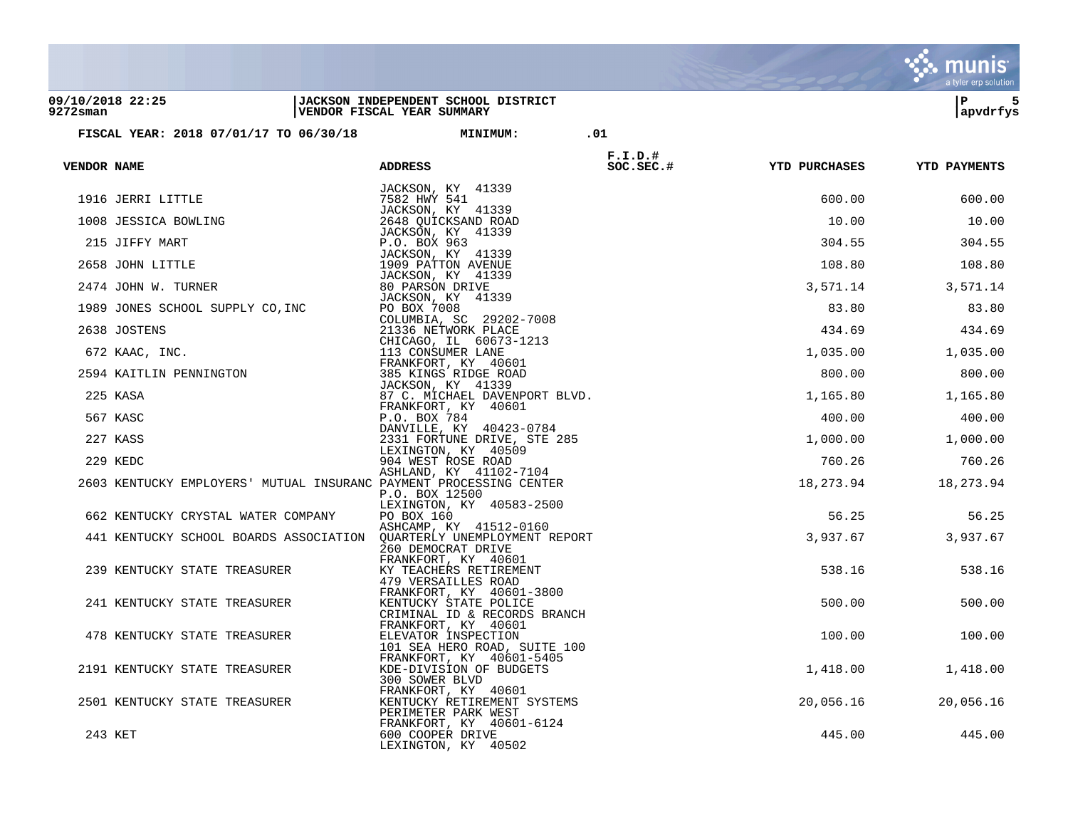|                              |                                                                      |                                                                          |                                                                                   |                        |                      | a tyler erp solution |
|------------------------------|----------------------------------------------------------------------|--------------------------------------------------------------------------|-----------------------------------------------------------------------------------|------------------------|----------------------|----------------------|
| 09/10/2018 22:25<br>9272sman |                                                                      | <b>JACKSON INDEPENDENT SCHOOL DISTRICT</b><br>VENDOR FISCAL YEAR SUMMARY |                                                                                   |                        |                      | 5<br>ΙP<br>apvdrfys  |
|                              | FISCAL YEAR: 2018 07/01/17 TO 06/30/18                               |                                                                          | <b>MINIMUM:</b>                                                                   | .01                    |                      |                      |
| VENDOR NAME                  |                                                                      | <b>ADDRESS</b>                                                           |                                                                                   | $F.I.D.$ #<br>SC.SEC.# | <b>YTD PURCHASES</b> | <b>YTD PAYMENTS</b>  |
|                              | 1916 JERRI LITTLE                                                    | 7582 HWY 541                                                             | JACKSON, KY 41339                                                                 |                        | 600.00               | 600.00               |
|                              | 1008 JESSICA BOWLING                                                 |                                                                          | JACKSON, KY 41339<br>2648 QUICKSAND ROAD                                          |                        | 10.00                | 10.00                |
|                              | 215 JIFFY MART                                                       | P.O. BOX 963                                                             | JACKSON, KY 41339                                                                 |                        | 304.55               | 304.55               |
|                              | 2658 JOHN LITTLE                                                     |                                                                          | JACKSON, KY 41339<br>1909 PATTON AVENUE                                           |                        | 108.80               | 108.80               |
|                              | 2474 JOHN W. TURNER                                                  | 80 PARSON DRIVE                                                          | JACKSON, KY 41339                                                                 |                        | 3,571.14             | 3,571.14             |
|                              | 1989 JONES SCHOOL SUPPLY CO, INC                                     | PO BOX 7008                                                              | JACKSON, KY 41339                                                                 |                        | 83.80                | 83.80                |
|                              | 2638 JOSTENS                                                         |                                                                          | COLUMBIA, SC 29202-7008<br>21336 NETWORK PLACE                                    |                        | 434.69               | 434.69               |
|                              | 672 KAAC, INC.                                                       |                                                                          | CHICAGO, IL 60673-1213<br>113 CONSUMER LANE                                       |                        | 1,035.00             | 1,035.00             |
|                              | 2594 KAITLIN PENNINGTON                                              |                                                                          | FRANKFORT, KY 40601<br>385 KINGS RIDGE ROAD                                       |                        | 800.00               | 800.00               |
|                              | 225 KASA                                                             |                                                                          | JACKSON, KY 41339<br>87 C. MICHAEL DAVENPORT BLVD.                                |                        | 1,165.80             | 1,165.80             |
|                              | 567 KASC                                                             | P.O. BOX 784                                                             | FRANKFORT, KY 40601                                                               |                        | 400.00               | 400.00               |
|                              | 227 KASS                                                             |                                                                          | DANVILLE, KY 40423-0784<br>2331 FORTUNE DRIVE, STE 285                            |                        | 1,000.00             | 1,000.00             |
|                              | 229 KEDC                                                             |                                                                          | LEXINGTON, KY 40509<br>904 WEST ROSE ROAD                                         |                        | 760.26               | 760.26               |
|                              | 2603 KENTUCKY EMPLOYERS' MUTUAL INSURANC PAYMENT PROCESSING CENTER   | P.O. BOX 12500                                                           | ASHLAND, KY 41102-7104                                                            |                        | 18,273.94            | 18,273.94            |
|                              | 662 KENTUCKY CRYSTAL WATER COMPANY                                   | PO BOX 160                                                               | LEXINGTON, KY 40583-2500                                                          |                        | 56.25                | 56.25                |
|                              | 441 KENTUCKY SCHOOL BOARDS ASSOCIATION QUARTERLY UNEMPLOYMENT REPORT |                                                                          | ASHCAMP, KY 41512-0160<br>260 DEMOCRAT DRIVE                                      |                        | 3,937.67             | 3,937.67             |
|                              | 239 KENTUCKY STATE TREASURER                                         |                                                                          | FRANKFORT, KY 40601<br>KY TEACHERS RETIREMENT<br>479 VERSAILLES ROAD              |                        | 538.16               | 538.16               |
|                              | 241 KENTUCKY STATE TREASURER                                         |                                                                          | FRANKFORT, KY 40601-3800<br>KENTUCKY STATE POLICE<br>CRIMINAL ID & RECORDS BRANCH |                        | 500.00               | 500.00               |
|                              | 478 KENTUCKY STATE TREASURER                                         |                                                                          | FRANKFORT, KY 40601<br>ELEVATOR INSPECTION<br>101 SEA HERO ROAD, SUITE 100        |                        | 100.00               | 100.00               |
|                              | 2191 KENTUCKY STATE TREASURER                                        | 300 SOWER BLVD                                                           | FRANKFORT, KY 40601-5405<br>KDE-DIVISION OF BUDGETS                               |                        | 1,418.00             | 1,418.00             |
|                              | 2501 KENTUCKY STATE TREASURER                                        |                                                                          | FRANKFORT, KY 40601<br>KENTUCKY RETIREMENT SYSTEMS<br>PERIMETER PARK WEST         |                        | 20,056.16            | 20,056.16            |
|                              | 243 KET                                                              |                                                                          | FRANKFORT, KY 40601-6124<br>600 COOPER DRIVE<br>LEXINGTON, KY 40502               |                        | 445.00               | 445.00               |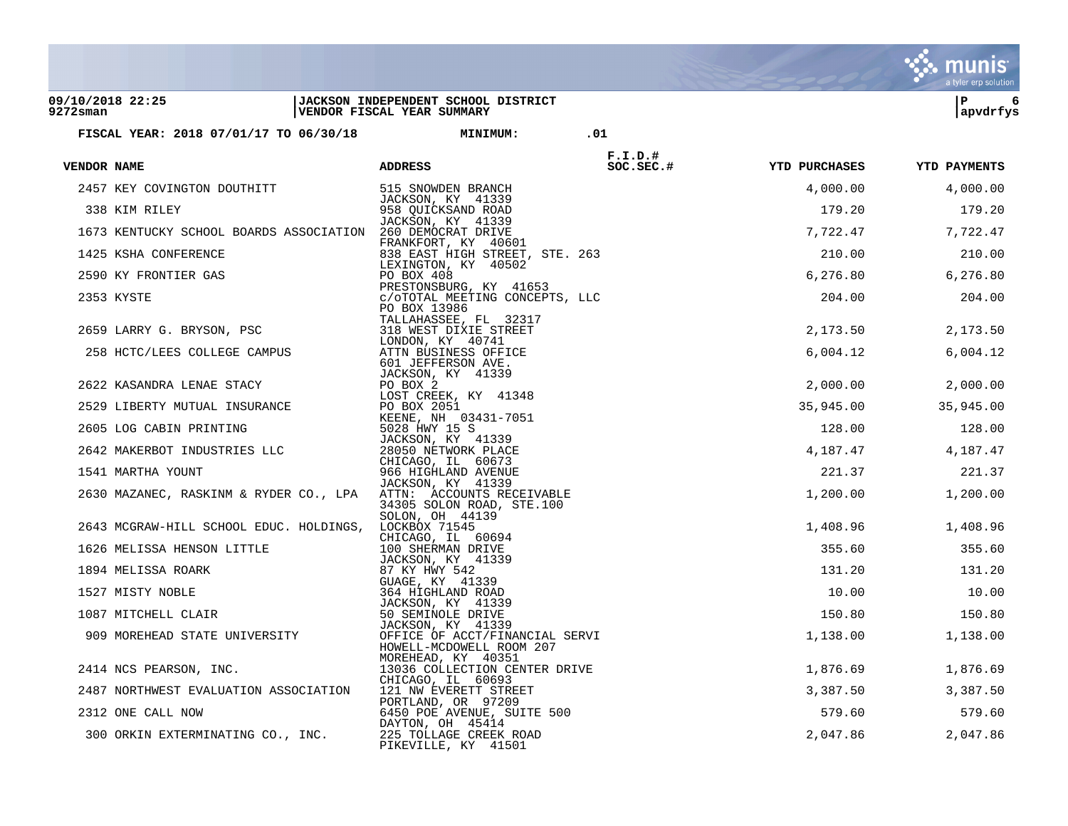| 09/10/2018 22:25<br>9272sman                                                                                                                                                                                                                       | JACKSON INDEPENDENT SCHOOL DISTRICT<br>VENDOR FISCAL YEAR SUMMARY |            |                                      | l P<br>6<br> apvdrfys |
|----------------------------------------------------------------------------------------------------------------------------------------------------------------------------------------------------------------------------------------------------|-------------------------------------------------------------------|------------|--------------------------------------|-----------------------|
| FISCAL YEAR: 2018 07/01/17 TO 06/30/18 MINIMUM: 01                                                                                                                                                                                                 |                                                                   |            |                                      |                       |
| VENDOR NAME                                                                                                                                                                                                                                        | <b>ADDRESS</b>                                                    | $F.I.D.$ # | SOC.SEC.# YTD PURCHASES YTD PAYMENTS |                       |
|                                                                                                                                                                                                                                                    |                                                                   |            | 4,000.00                             | 4,000.00              |
| 2457 KEY COVINGTON DOUTHITT 515 SNOWDEN BRANCH<br>338 KIM RILEY 1339<br>338 KIM RILEY 1558 QUICKSAND ROAD<br>338 KIM RILEY 1339                                                                                                                    |                                                                   |            | 179.20                               | 179.20                |
| 1673 KENTUCKY SCHOOL BOARDS ASSOCIATION 260 DEMOCRAT DRIVE                                                                                                                                                                                         | JACKSON, KY 41339                                                 |            |                                      | 7,722.47 7,722.47     |
|                                                                                                                                                                                                                                                    |                                                                   |            | 210.00                               | 210.00                |
|                                                                                                                                                                                                                                                    |                                                                   |            |                                      | 6,276.80 6,276.80     |
| 1673 KENTUCKY SCHOOL BOARDS ASSOCIATION 260 DEMOCRAT DRIVE<br>1425 KSHA CONFERENCE FRANKFORT, KY 40501<br>1425 KSHA CONFERENCE FRANKFORT, KY 40502<br>2590 KY FRONTIER GAS<br>2590 KY FRONTIER GAS<br>2590 KY FRONTIER GAS<br>269 LEXINGT          |                                                                   |            |                                      | 204.00 204.00         |
|                                                                                                                                                                                                                                                    |                                                                   |            | 2,173.50                             | 2,173.50              |
|                                                                                                                                                                                                                                                    |                                                                   |            | 6,004.12                             | 6,004.12              |
|                                                                                                                                                                                                                                                    |                                                                   |            |                                      | 2,000.00 2,000.00     |
|                                                                                                                                                                                                                                                    |                                                                   |            |                                      | 35,945.00 35,945.00   |
|                                                                                                                                                                                                                                                    |                                                                   |            |                                      | 128.00 128.00         |
|                                                                                                                                                                                                                                                    |                                                                   |            |                                      | 4, 187. 47 4, 187. 47 |
|                                                                                                                                                                                                                                                    |                                                                   |            |                                      | 221.37 221.37         |
| 2630 MAZANEC, RASKINM & RYDER CO., LPA ATTN: ACCOUNTS RECEIVABLE                                                                                                                                                                                   | 34305 SOLON ROAD, STE.100                                         |            |                                      | 1,200.00 1,200.00     |
| 2643 MCGRAW-HILL SCHOOL EDUC. HOLDINGS, LOCKBOX 71545                                                                                                                                                                                              | SOLON, OH 44139                                                   |            |                                      | 1,408.96 1,408.96     |
|                                                                                                                                                                                                                                                    |                                                                   |            | 355.60                               | 355.60                |
|                                                                                                                                                                                                                                                    |                                                                   |            | 131.20                               | 131.20                |
|                                                                                                                                                                                                                                                    |                                                                   |            | 10.00                                | 10.00                 |
|                                                                                                                                                                                                                                                    |                                                                   |            |                                      | 150.80    150.80      |
| 2643 MCGRAW-HILL SCHOOL EDUC. HOLDINGS, LOCKBOX 71545<br>1626 MELISSA HENSON LITTLE<br>160694<br>1626 MELISSA HENSON LITTLE<br>160694<br>1626 MELISSA ROARK<br>27 MISTY NOBLE<br>1627 MISTY NOBLE<br>264 HIGHLAND ROAD<br>264 HIGHLAND ROAD<br>264 |                                                                   |            |                                      | 1,138.00 1,138.00     |
|                                                                                                                                                                                                                                                    |                                                                   |            |                                      | 1,876.69 1,876.69     |
| 2487 NORTHWEST EVALUATION ASSOCIATION 121 NW EVERETT STREET                                                                                                                                                                                        |                                                                   |            |                                      | 3,387.50 3,387.50     |
| 2312 ONE CALL NOW                                                                                                                                                                                                                                  |                                                                   |            |                                      | 579.60 579.60         |
| 2312 ONE CALL NOW<br>2312 ONE CALL NOW 197209<br>300 ORKIN EXTERMINATING CO., INC. 225 TOLLAGE CREEK ROAD                                                                                                                                          |                                                                   |            |                                      | 2,047.86 2,047.86     |

 $\ddot{\ddot{\mathbf{y}}}$  munis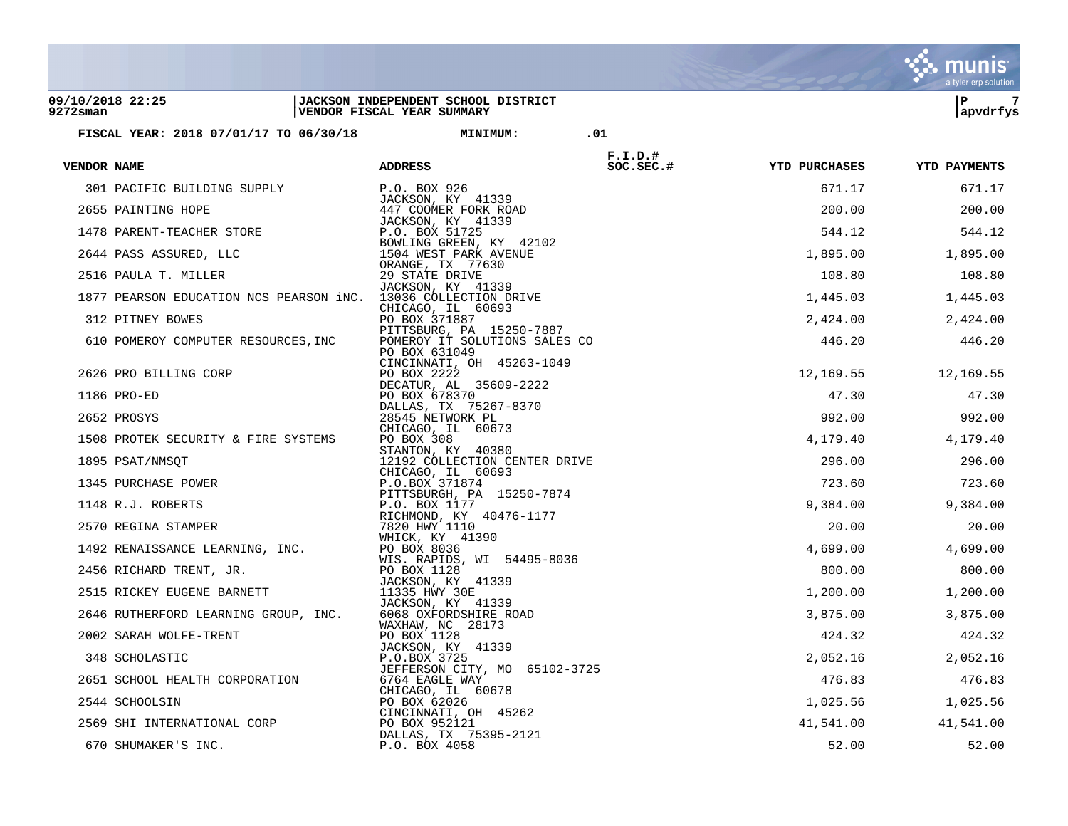|                                                                |                                                                   |                         |                      | a tyler erp solution |
|----------------------------------------------------------------|-------------------------------------------------------------------|-------------------------|----------------------|----------------------|
| 09/10/2018 22:25<br>9272sman                                   | JACKSON INDEPENDENT SCHOOL DISTRICT<br>VENDOR FISCAL YEAR SUMMARY |                         |                      | ΙP<br>7<br> apvdrfys |
| FISCAL YEAR: 2018 07/01/17 TO 06/30/18                         | <b>MINIMUM:</b>                                                   | .01                     |                      |                      |
|                                                                |                                                                   |                         |                      |                      |
| VENDOR NAME                                                    | <b>ADDRESS</b>                                                    | $F.I.D.$ #<br>SOC.SEC.# | <b>YTD PURCHASES</b> | <b>YTD PAYMENTS</b>  |
| 301 PACIFIC BUILDING SUPPLY                                    | P.O. BOX 926                                                      |                         | 671.17               | 671.17               |
| 2655 PAINTING HOPE                                             | JACKSON, KY 41339<br>447 COOMER FORK ROAD                         |                         | 200.00               | 200.00               |
| 1478 PARENT-TEACHER STORE                                      | JACKSON, KY 41339<br>P.O. BOX 51725                               |                         | 544.12               | 544.12               |
| 2644 PASS ASSURED, LLC                                         | BOWLING GREEN, KY 42102<br>1504 WEST PARK AVENUE                  |                         | 1,895.00             | 1,895.00             |
| 2516 PAULA T. MILLER                                           | ORANGE, TX 77630<br>29 STATE DRIVE                                |                         | 108.80               | 108.80               |
| 1877 PEARSON EDUCATION NCS PEARSON iNC. 13036 COLLECTION DRIVE | JACKSON, KY 41339                                                 |                         | 1,445.03             | 1,445.03             |
|                                                                | CHICAGO, IL 60693<br>PO BOX 371887                                |                         |                      |                      |
| 312 PITNEY BOWES                                               | PITTSBURG, PA 15250-7887                                          |                         | 2,424.00             | 2,424.00             |
| 610 POMEROY COMPUTER RESOURCES, INC                            | POMEROY IT SOLUTIONS SALES CO<br>PO BOX 631049                    |                         | 446.20               | 446.20               |
| 2626 PRO BILLING CORP                                          | CINCINNATI, OH 45263-1049<br>PO BOX 2222                          |                         | 12,169.55            | 12,169.55            |
| 1186 PRO-ED                                                    | DECATUR, AL 35609-2222<br>PO BOX 678370                           |                         | 47.30                | 47.30                |
| 2652 PROSYS                                                    | DALLAS, TX 75267-8370<br>28545 NETWORK PL                         |                         | 992.00               | 992.00               |
|                                                                | CHICAGO, IL 60673                                                 |                         |                      |                      |
| 1508 PROTEK SECURITY & FIRE SYSTEMS                            | PO BOX 308<br>STANTON, KY 40380                                   |                         | 4,179.40             | 4,179.40             |
| 1895 PSAT/NMSQT                                                | 12192 COLLECTION CENTER DRIVE<br>CHICAGO, IL 60693                |                         | 296.00               | 296.00               |
| 1345 PURCHASE POWER                                            | P.O.BOX 371874<br>PITTSBURGH, PA 15250-7874                       |                         | 723.60               | 723.60               |
| 1148 R.J. ROBERTS                                              | P.O. BOX 1177                                                     |                         | 9,384.00             | 9,384.00             |
| 2570 REGINA STAMPER                                            | RICHMOND, KY 40476-1177<br>7820 HWY 1110                          |                         | 20.00                | 20.00                |
| 1492 RENAISSANCE LEARNING, INC.                                | WHICK, KY 41390<br>PO BOX 8036                                    |                         | 4,699.00             | 4,699.00             |
| 2456 RICHARD TRENT, JR.                                        | WIS. RAPIDS, WI 54495-8036<br>PO BOX 1128                         |                         | 800.00               | 800.00               |
| 2515 RICKEY EUGENE BARNETT                                     | JACKSON, KY 41339<br>11335 HWY 30E                                |                         | 1,200.00             | 1,200.00             |
|                                                                | JACKSON, KY 41339                                                 |                         |                      |                      |
| 2646 RUTHERFORD LEARNING GROUP, INC.                           | 6068 OXFORDSHIRE ROAD<br>WAXHAW, NC 28173                         |                         | 3,875.00             | 3,875.00             |
| 2002 SARAH WOLFE-TRENT                                         | PO BOX 1128<br>JACKSON, KY 41339                                  |                         | 424.32               | 424.32               |
| 348 SCHOLASTIC                                                 | P.O.BOX 3725<br>JEFFERSON CITY, MO                                | 65102-3725              | 2,052.16             | 2,052.16             |
| 2651 SCHOOL HEALTH CORPORATION                                 | 6764 EAGLE WAY<br>CHICAGO, IL 60678                               |                         | 476.83               | 476.83               |
| 2544 SCHOOLSIN                                                 | PO BOX 62026                                                      |                         | 1,025.56             | 1,025.56             |
| 2569 SHI INTERNATIONAL CORP                                    | CINCINNATI, OH 45262<br>PO BOX 952121                             |                         | 41,541.00            | 41,541.00            |
| 670 SHUMAKER'S INC.                                            | DALLAS, TX 75395-2121<br>P.O. BOX 4058                            |                         | 52.00                | 52.00                |